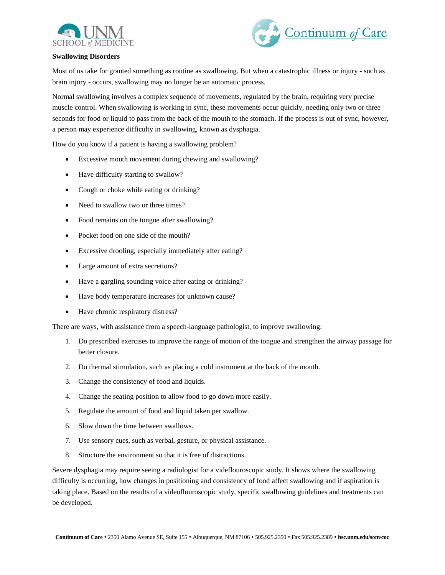



## **Swallowing Disorders**

Most of us take for granted something as routine as swallowing. But when a catastrophic illness or injury - such as brain injury - occurs, swallowing may no longer be an automatic process.

Normal swallowing involves a complex sequence of movements, regulated by the brain, requiring very precise muscle control. When swallowing is working in sync, these movements occur quickly, needing only two or three seconds for food or liquid to pass from the back of the mouth to the stomach. If the process is out of sync, however, a person may experience difficulty in swallowing, known as dysphagia.

How do you know if a patient is having a swallowing problem?

- Excessive mouth movement during chewing and swallowing?
- Have difficulty starting to swallow?
- Cough or choke while eating or drinking?
- Need to swallow two or three times?
- Food remains on the tongue after swallowing?
- Pocket food on one side of the mouth?
- Excessive drooling, especially immediately after eating?
- Large amount of extra secretions?
- Have a gargling sounding voice after eating or drinking?
- Have body temperature increases for unknown cause?
- Have chronic respiratory distress?

There are ways, with assistance from a speech-language pathologist, to improve swallowing:

- 1. Do prescribed exercises to improve the range of motion of the tongue and strengthen the airway passage for better closure.
- 2. Do thermal stimulation, such as placing a cold instrument at the back of the mouth.
- 3. Change the consistency of food and liquids.
- 4. Change the seating position to allow food to go down more easily.
- 5. Regulate the amount of food and liquid taken per swallow.
- 6. Slow down the time between swallows.
- 7. Use sensory cues, such as verbal, gesture, or physical assistance.
- 8. Structure the environment so that it is free of distractions.

Severe dysphagia may require seeing a radiologist for a videflouroscopic study. It shows where the swallowing difficulty is occurring, how changes in positioning and consistency of food affect swallowing and if aspiration is taking place. Based on the results of a videoflouroscopic study, specific swallowing guidelines and treatments can be developed.